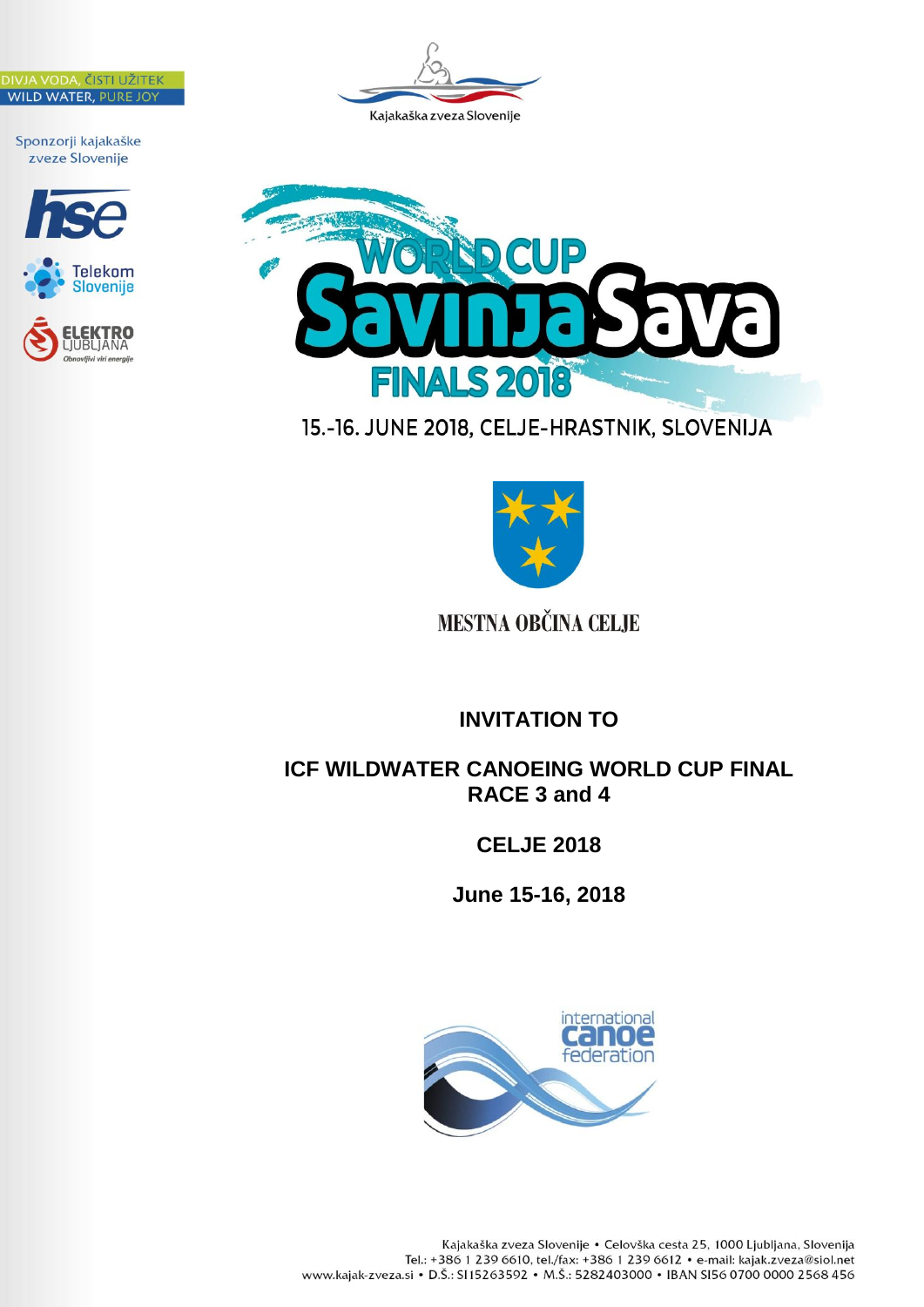







# 15.-16. JUNE 2018, CELJE-HRASTNIK, SLOVENIJA



# **MESTNA OBČINA CELJE**

**INVITATION TO**

## **ICF WILDWATER CANOEING WORLD CUP FINAL RACE 3 and 4**

## **CELJE 2018**

**June 15-16, 2018**

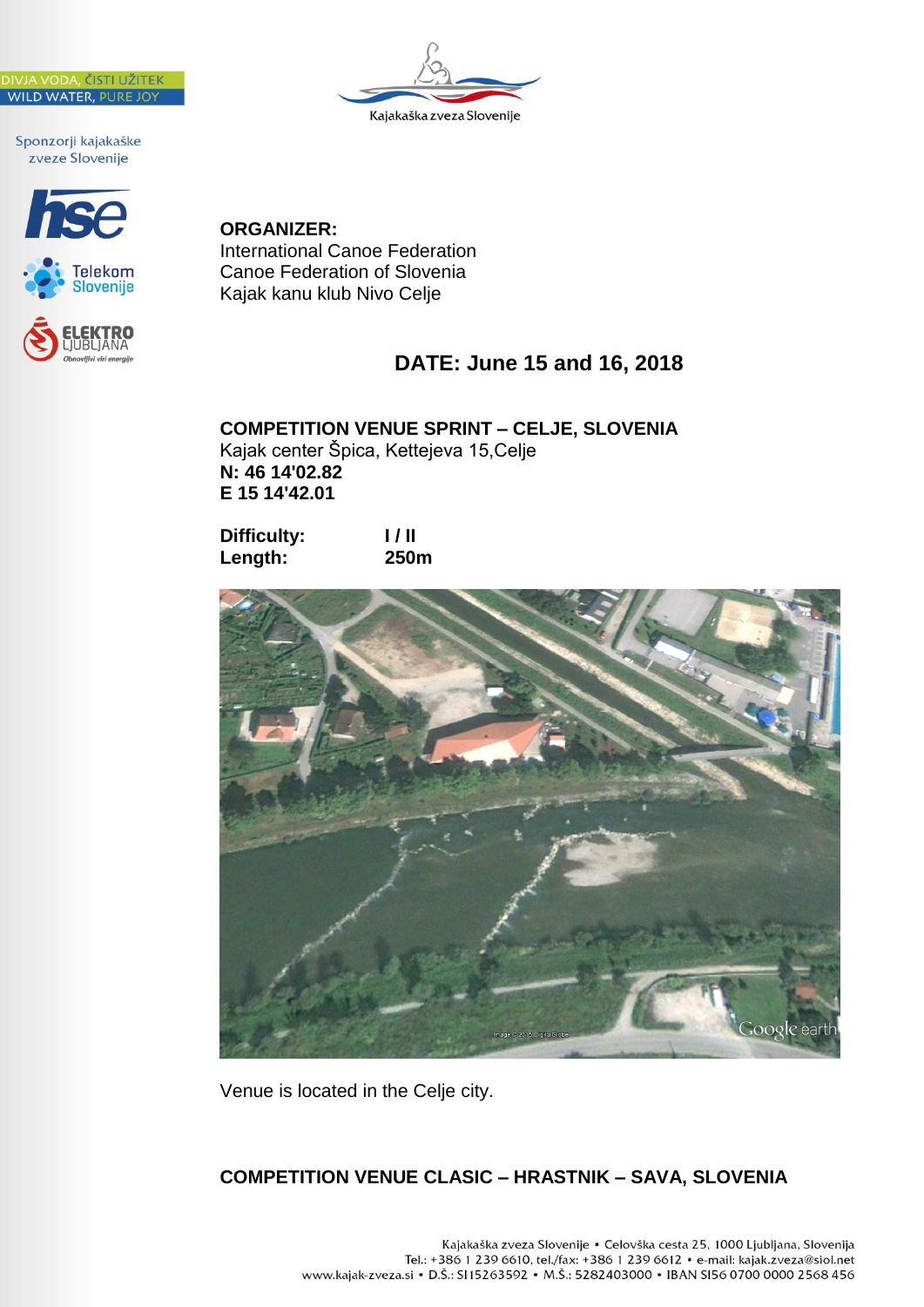





**ORGANIZER:** International Canoe Federation Canoe Federation of Slovenia Kajak kanu klub Nivo Celje

# **DATE: June 15 and 16, 2018**

**COMPETITION VENUE SPRINT – CELJE, SLOVENIA** Kajak center Špica, Kettejeva 15,Celje **N: 46 14'02.82 E 15 14'42.01**

**Difficulty: I / II Length: 250m**



Venue is located in the Celje city.

## **COMPETITION VENUE CLASIC – HRASTNIK – SAVA, SLOVENIA**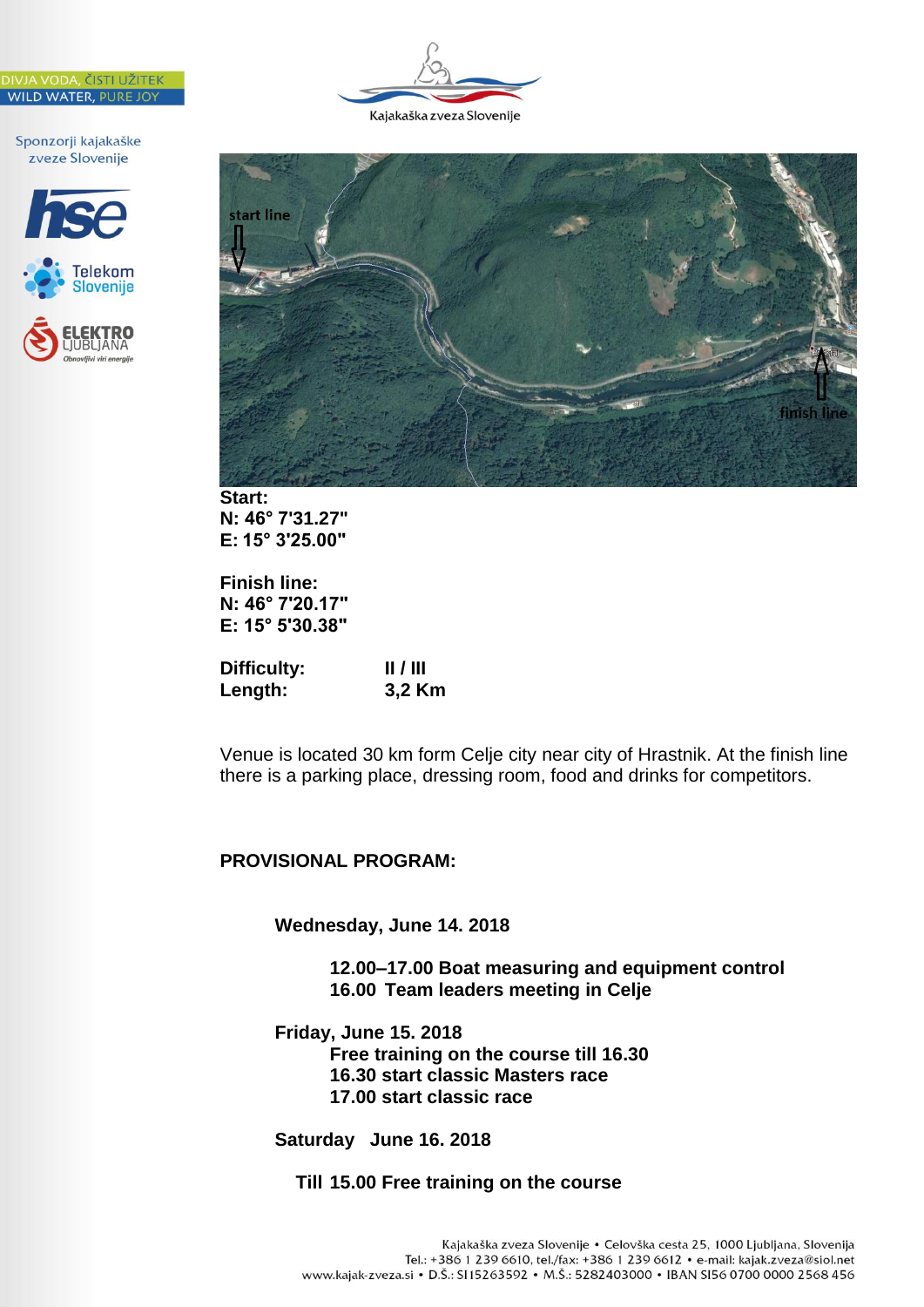







**Start: N: 46° 7'31.27" E: 15° 3'25.00"**

**Finish line: N: 46° 7'20.17" E: 15° 5'30.38"**

| Difficulty: | $\parallel$ / $\parallel$ |
|-------------|---------------------------|
| Length:     | 3,2 Km                    |

Venue is located 30 km form Celje city near city of Hrastnik. At the finish line there is a parking place, dressing room, food and drinks for competitors.

## **PROVISIONAL PROGRAM:**

**Wednesday, June 14. 2018**

**12.00–17.00 Boat measuring and equipment control 16.00 Team leaders meeting in Celje**

**Friday, June 15. 2018 Free training on the course till 16.30 16.30 start classic Masters race 17.00 start classic race**

**Saturday June 16. 2018**

### **Till 15.00 Free training on the course**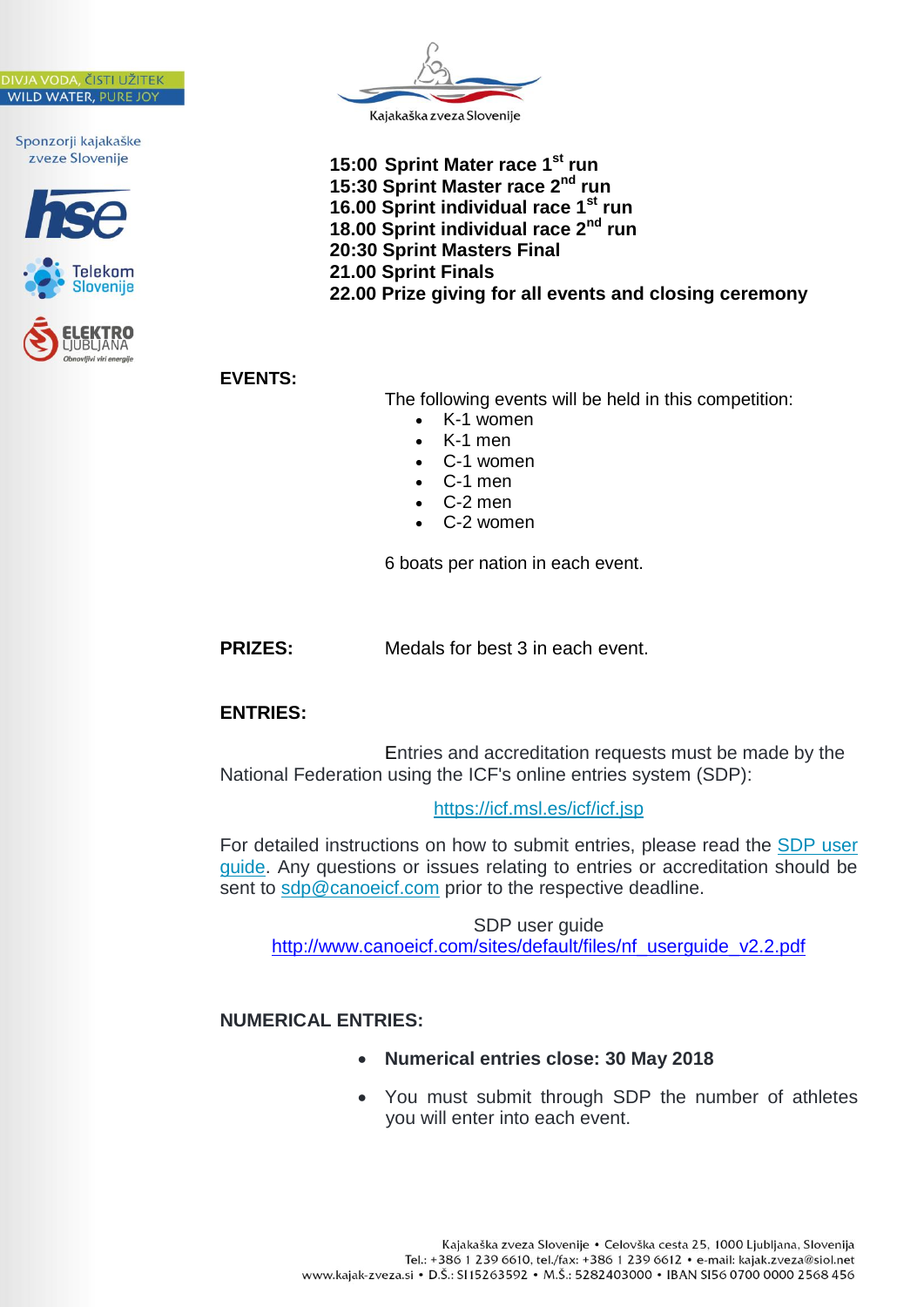





**15:00 Sprint Mater race 1st run 15:30 Sprint Master race 2nd run 16.00 Sprint individual race 1st run 18.00 Sprint individual race 2nd run 20:30 Sprint Masters Final 21.00 Sprint Finals 22.00 Prize giving for all events and closing ceremony** 

**EVENTS:**

The following events will be held in this competition:

- K-1 women
- K-1 men
- C-1 women
- C-1 men
- C-2 men
- C-2 women

6 boats per nation in each event.

**PRIZES:** Medals for best 3 in each event.

## **ENTRIES:**

Entries and accreditation requests must be made by the National Federation using the ICF's online entries system (SDP):

<https://icf.msl.es/icf/icf.jsp>

For detailed instructions on how to submit entries, please read the [SDP user](https://federations.canoeicf.com/sites/default/files/nf_userguide_v2.2.pdf)  [guide.](https://federations.canoeicf.com/sites/default/files/nf_userguide_v2.2.pdf) Any questions or issues relating to entries or accreditation should be sent to [sdp@canoeicf.com](mailto:sdp@canoeicf.com) prior to the respective deadline.

SDP user guide [http://www.canoeicf.com/sites/default/files/nf\\_userguide\\_v2.2.pdf](http://www.canoeicf.com/sites/default/files/nf_userguide_v2.2.pdf)

## **NUMERICAL ENTRIES:**

- **Numerical entries close: 30 May 2018**
- You must submit through SDP the number of athletes you will enter into each event.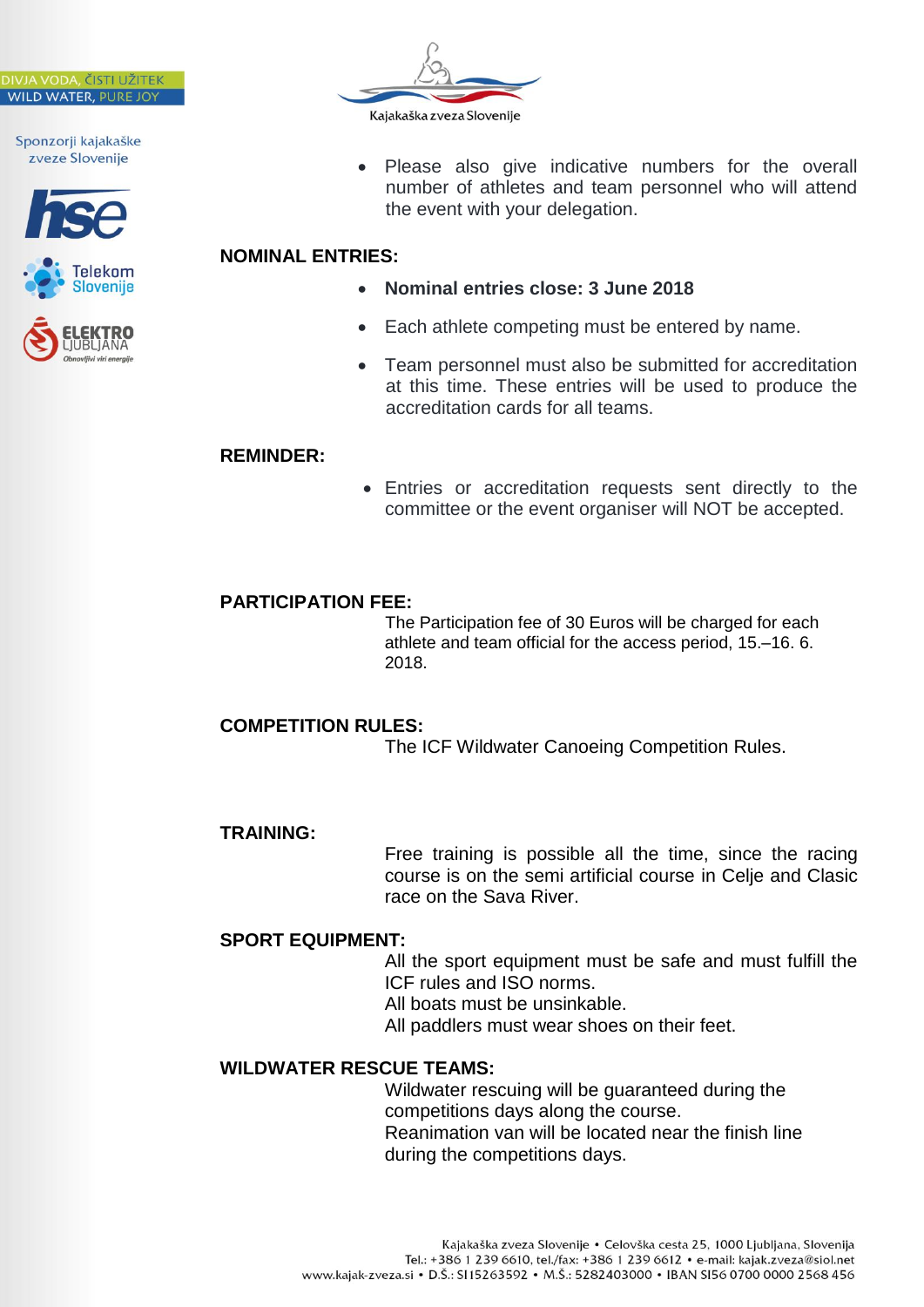





 Please also give indicative numbers for the overall number of athletes and team personnel who will attend the event with your delegation.

## **NOMINAL ENTRIES:**

- **Nominal entries close: 3 June 2018**
- Each athlete competing must be entered by name.
- Team personnel must also be submitted for accreditation at this time. These entries will be used to produce the accreditation cards for all teams.

#### **REMINDER:**

 Entries or accreditation requests sent directly to the committee or the event organiser will NOT be accepted.

## **PARTICIPATION FEE:**

The Participation fee of 30 Euros will be charged for each athlete and team official for the access period, 15.–16. 6. 2018.

## **COMPETITION RULES:**

The ICF Wildwater Canoeing Competition Rules.

#### **TRAINING:**

Free training is possible all the time, since the racing course is on the semi artificial course in Celje and Clasic race on the Sava River.

## **SPORT EQUIPMENT:**

All the sport equipment must be safe and must fulfill the ICF rules and ISO norms.

All boats must be unsinkable.

All paddlers must wear shoes on their feet.

## **WILDWATER RESCUE TEAMS:**

Wildwater rescuing will be guaranteed during the competitions days along the course. Reanimation van will be located near the finish line during the competitions days.